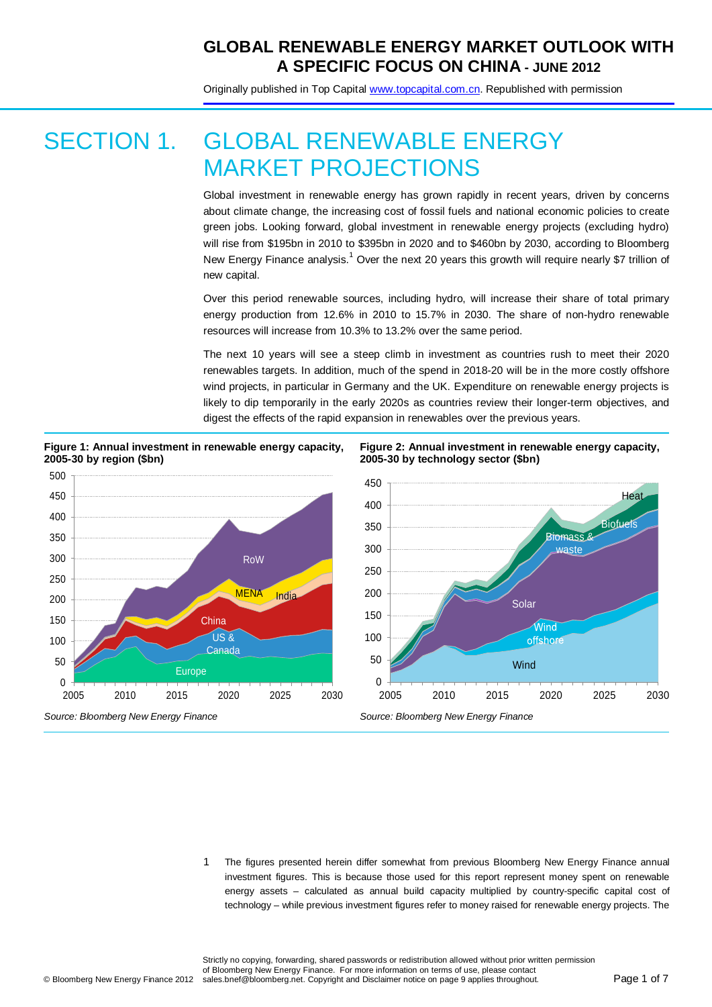Originally published in Top Capital [www.topcapital.com.cn.](http://www.topcapital.com.cn/) Republished with permission

# SECTION 1. GLOBAL RENEWABLE ENERGY MARKET PROJECTIONS

Global investment in renewable energy has grown rapidly in recent years, driven by concerns about climate change, the increasing cost of fossil fuels and national economic policies to create green jobs. Looking forward, global investment in renewable energy projects (excluding hydro) will rise from \$195bn in 2010 to \$395bn in 2020 and to \$460bn by 2030, according to Bloomberg New Energy Finance analysis.<sup>1</sup> Over the next 20 years this growth will require nearly \$7 trillion of new capital.

Over this period renewable sources, including hydro, will increase their share of total primary energy production from 12.6% in 2010 to 15.7% in 2030. The share of non-hydro renewable resources will increase from 10.3% to 13.2% over the same period.

The next 10 years will see a steep climb in investment as countries rush to meet their 2020 renewables targets. In addition, much of the spend in 2018-20 will be in the more costly offshore wind projects, in particular in Germany and the UK. Expenditure on renewable energy projects is likely to dip temporarily in the early 2020s as countries review their longer-term objectives, and digest the effects of the rapid expansion in renewables over the previous years.



**Figure 1: Annual investment in renewable energy capacity,** 

**Figure 2: Annual investment in renewable energy capacity, 2005-30 by technology sector (\$bn)**



1 The figures presented herein differ somewhat from previous Bloomberg New Energy Finance annual investment figures. This is because those used for this report represent money spent on renewable energy assets – calculated as annual build capacity multiplied by country-specific capital cost of technology – while previous investment figures refer to money raised for renewable energy projects. The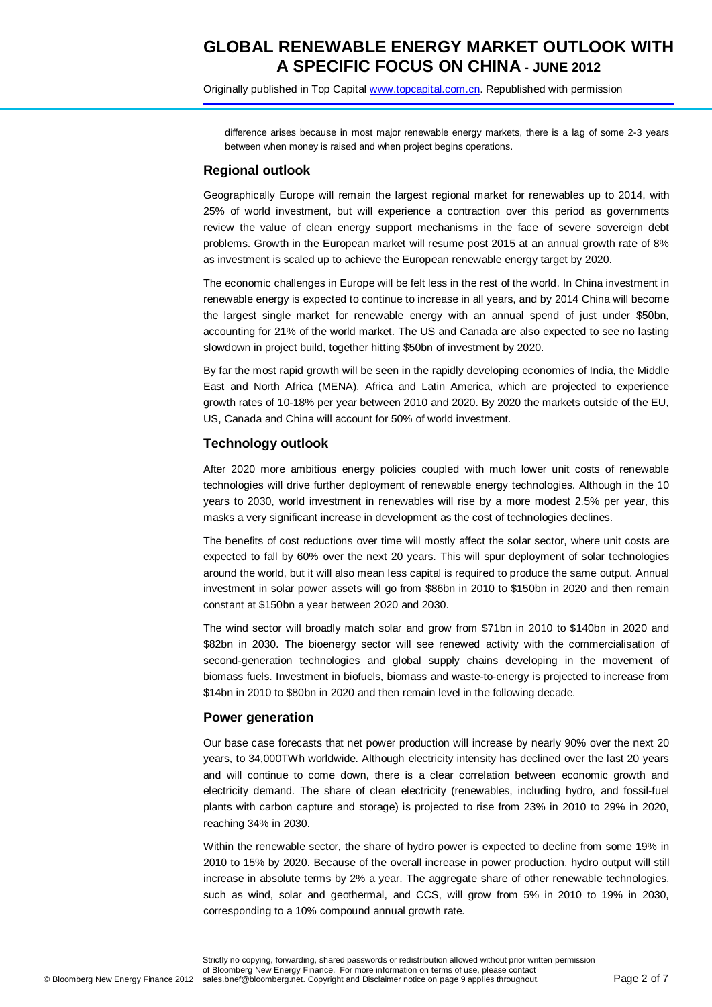Originally published in Top Capital [www.topcapital.com.cn.](http://www.topcapital.com.cn/) Republished with permission

difference arises because in most major renewable energy markets, there is a lag of some 2-3 years between when money is raised and when project begins operations.

### **Regional outlook**

Geographically Europe will remain the largest regional market for renewables up to 2014, with 25% of world investment, but will experience a contraction over this period as governments review the value of clean energy support mechanisms in the face of severe sovereign debt problems. Growth in the European market will resume post 2015 at an annual growth rate of 8% as investment is scaled up to achieve the European renewable energy target by 2020.

The economic challenges in Europe will be felt less in the rest of the world. In China investment in renewable energy is expected to continue to increase in all years, and by 2014 China will become the largest single market for renewable energy with an annual spend of just under \$50bn, accounting for 21% of the world market. The US and Canada are also expected to see no lasting slowdown in project build, together hitting \$50bn of investment by 2020.

By far the most rapid growth will be seen in the rapidly developing economies of India, the Middle East and North Africa (MENA), Africa and Latin America, which are projected to experience growth rates of 10-18% per year between 2010 and 2020. By 2020 the markets outside of the EU, US, Canada and China will account for 50% of world investment.

### **Technology outlook**

After 2020 more ambitious energy policies coupled with much lower unit costs of renewable technologies will drive further deployment of renewable energy technologies. Although in the 10 years to 2030, world investment in renewables will rise by a more modest 2.5% per year, this masks a very significant increase in development as the cost of technologies declines.

The benefits of cost reductions over time will mostly affect the solar sector, where unit costs are expected to fall by 60% over the next 20 years. This will spur deployment of solar technologies around the world, but it will also mean less capital is required to produce the same output. Annual investment in solar power assets will go from \$86bn in 2010 to \$150bn in 2020 and then remain constant at \$150bn a year between 2020 and 2030.

The wind sector will broadly match solar and grow from \$71bn in 2010 to \$140bn in 2020 and \$82bn in 2030. The bioenergy sector will see renewed activity with the commercialisation of second-generation technologies and global supply chains developing in the movement of biomass fuels. Investment in biofuels, biomass and waste-to-energy is projected to increase from \$14bn in 2010 to \$80bn in 2020 and then remain level in the following decade.

### **Power generation**

Our base case forecasts that net power production will increase by nearly 90% over the next 20 years, to 34,000TWh worldwide. Although electricity intensity has declined over the last 20 years and will continue to come down, there is a clear correlation between economic growth and electricity demand. The share of clean electricity (renewables, including hydro, and fossil-fuel plants with carbon capture and storage) is projected to rise from 23% in 2010 to 29% in 2020, reaching 34% in 2030.

Within the renewable sector, the share of hydro power is expected to decline from some 19% in 2010 to 15% by 2020. Because of the overall increase in power production, hydro output will still increase in absolute terms by 2% a year. The aggregate share of other renewable technologies, such as wind, solar and geothermal, and CCS, will grow from 5% in 2010 to 19% in 2030, corresponding to a 10% compound annual growth rate.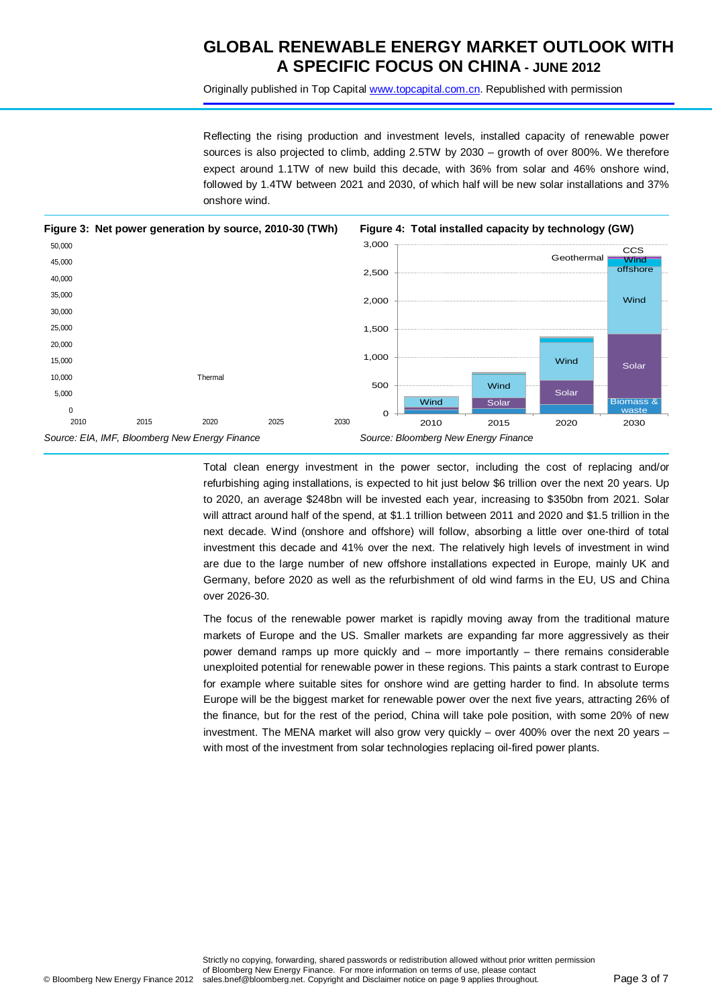Originally published in Top Capital [www.topcapital.com.cn.](http://www.topcapital.com.cn/) Republished with permission

Reflecting the rising production and investment levels, installed capacity of renewable power sources is also projected to climb, adding 2.5TW by 2030 – growth of over 800%. We therefore expect around 1.1TW of new build this decade, with 36% from solar and 46% onshore wind, followed by 1.4TW between 2021 and 2030, of which half will be new solar installations and 37% onshore wind.



Total clean energy investment in the power sector, including the cost of replacing and/or refurbishing aging installations, is expected to hit just below \$6 trillion over the next 20 years. Up to 2020, an average \$248bn will be invested each year, increasing to \$350bn from 2021. Solar will attract around half of the spend, at \$1.1 trillion between 2011 and 2020 and \$1.5 trillion in the next decade. Wind (onshore and offshore) will follow, absorbing a little over one-third of total investment this decade and 41% over the next. The relatively high levels of investment in wind are due to the large number of new offshore installations expected in Europe, mainly UK and Germany, before 2020 as well as the refurbishment of old wind farms in the EU, US and China over 2026-30.

The focus of the renewable power market is rapidly moving away from the traditional mature markets of Europe and the US. Smaller markets are expanding far more aggressively as their power demand ramps up more quickly and – more importantly – there remains considerable unexploited potential for renewable power in these regions. This paints a stark contrast to Europe for example where suitable sites for onshore wind are getting harder to find. In absolute terms Europe will be the biggest market for renewable power over the next five years, attracting 26% of the finance, but for the rest of the period, China will take pole position, with some 20% of new investment. The MENA market will also grow very quickly – over 400% over the next 20 years – with most of the investment from solar technologies replacing oil-fired power plants.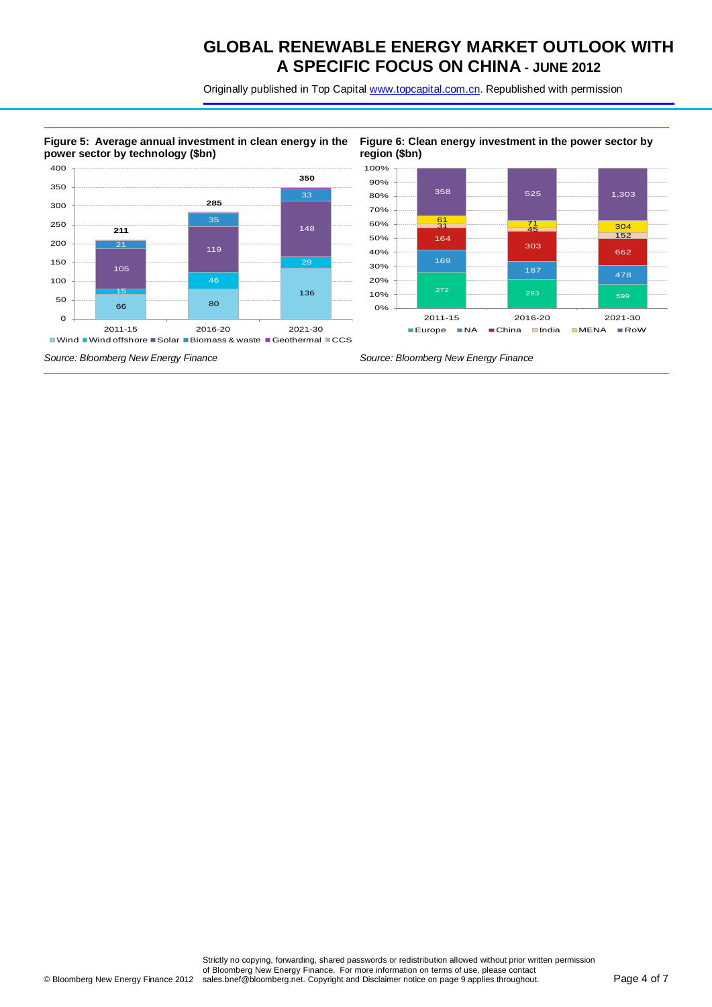Originally published in Top Capital [www.topcapital.com.cn.](http://www.topcapital.com.cn/) Republished with permission

#### **Figure 5: Average annual investment in clean energy in the power sector by technology (\$bn)**





*Source: Bloomberg New Energy Finance Source: Bloomberg New Energy Finance*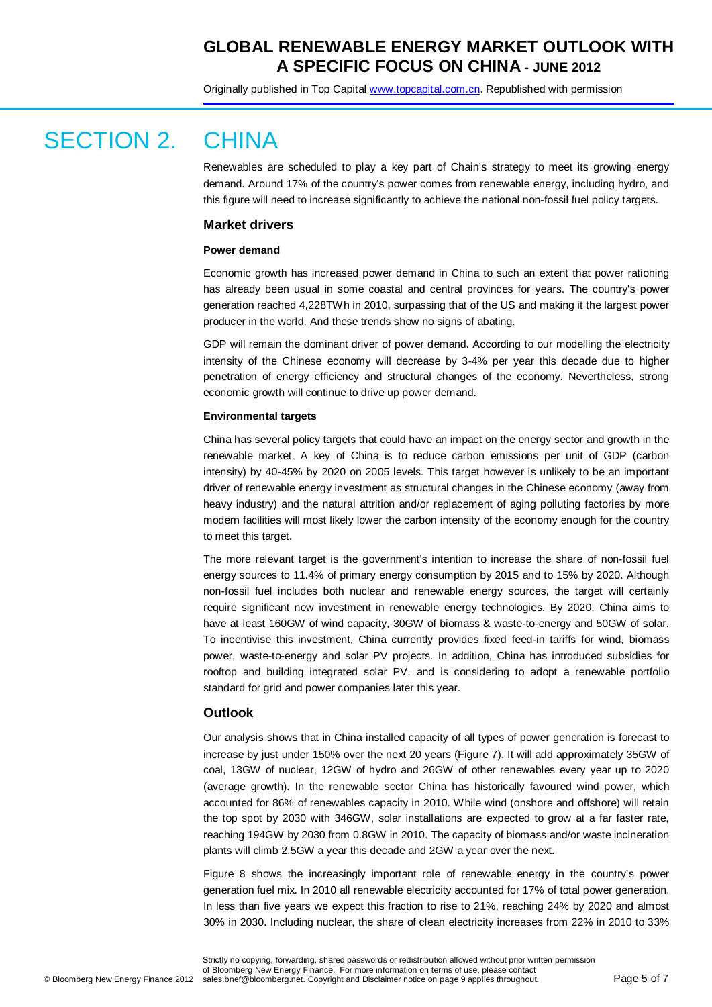Originally published in Top Capital [www.topcapital.com.cn.](http://www.topcapital.com.cn/) Republished with permission

# SECTION 2. CHINA

Renewables are scheduled to play a key part of Chain's strategy to meet its growing energy demand. Around 17% of the country's power comes from renewable energy, including hydro, and this figure will need to increase significantly to achieve the national non-fossil fuel policy targets.

### **Market drivers**

#### **Power demand**

Economic growth has increased power demand in China to such an extent that power rationing has already been usual in some coastal and central provinces for years. The country's power generation reached 4,228TWh in 2010, surpassing that of the US and making it the largest power producer in the world. And these trends show no signs of abating.

GDP will remain the dominant driver of power demand. According to our modelling the electricity intensity of the Chinese economy will decrease by 3-4% per year this decade due to higher penetration of energy efficiency and structural changes of the economy. Nevertheless, strong economic growth will continue to drive up power demand.

#### **Environmental targets**

China has several policy targets that could have an impact on the energy sector and growth in the renewable market. A key of China is to reduce carbon emissions per unit of GDP (carbon intensity) by 40-45% by 2020 on 2005 levels. This target however is unlikely to be an important driver of renewable energy investment as structural changes in the Chinese economy (away from heavy industry) and the natural attrition and/or replacement of aging polluting factories by more modern facilities will most likely lower the carbon intensity of the economy enough for the country to meet this target.

The more relevant target is the government's intention to increase the share of non-fossil fuel energy sources to 11.4% of primary energy consumption by 2015 and to 15% by 2020. Although non-fossil fuel includes both nuclear and renewable energy sources, the target will certainly require significant new investment in renewable energy technologies. By 2020, China aims to have at least 160GW of wind capacity, 30GW of biomass & waste-to-energy and 50GW of solar. To incentivise this investment, China currently provides fixed feed-in tariffs for wind, biomass power, waste-to-energy and solar PV projects. In addition, China has introduced subsidies for rooftop and building integrated solar PV, and is considering to adopt a renewable portfolio standard for grid and power companies later this year.

### **Outlook**

Our analysis shows that in China installed capacity of all types of power generation is forecast to increase by just under 150% over the next 20 years (Figure 7). It will add approximately 35GW of coal, 13GW of nuclear, 12GW of hydro and 26GW of other renewables every year up to 2020 (average growth). In the renewable sector China has historically favoured wind power, which accounted for 86% of renewables capacity in 2010. While wind (onshore and offshore) will retain the top spot by 2030 with 346GW, solar installations are expected to grow at a far faster rate, reaching 194GW by 2030 from 0.8GW in 2010. The capacity of biomass and/or waste incineration plants will climb 2.5GW a year this decade and 2GW a year over the next.

Figure 8 shows the increasingly important role of renewable energy in the country's power generation fuel mix. In 2010 all renewable electricity accounted for 17% of total power generation. In less than five years we expect this fraction to rise to 21%, reaching 24% by 2020 and almost 30% in 2030. Including nuclear, the share of clean electricity increases from 22% in 2010 to 33%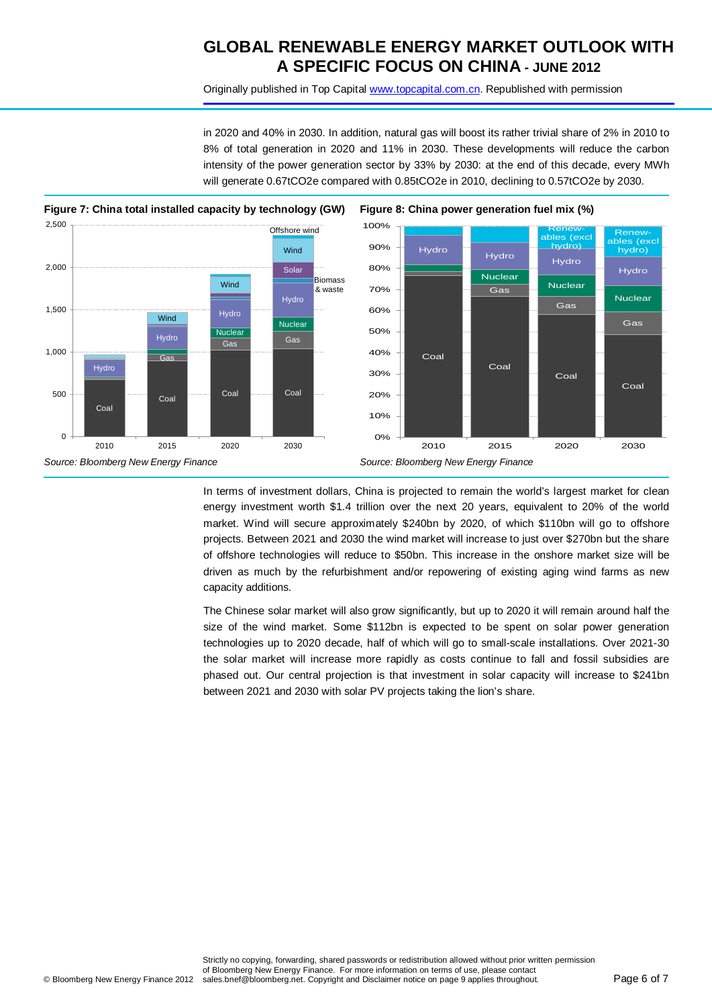Originally published in Top Capital [www.topcapital.com.cn.](http://www.topcapital.com.cn/) Republished with permission

in 2020 and 40% in 2030. In addition, natural gas will boost its rather trivial share of 2% in 2010 to 8% of total generation in 2020 and 11% in 2030. These developments will reduce the carbon intensity of the power generation sector by 33% by 2030: at the end of this decade, every MWh will generate 0.67tCO2e compared with 0.85tCO2e in 2010, declining to 0.57tCO2e by 2030.





In terms of investment dollars, China is projected to remain the world's largest market for clean energy investment worth \$1.4 trillion over the next 20 years, equivalent to 20% of the world market. Wind will secure approximately \$240bn by 2020, of which \$110bn will go to offshore projects. Between 2021 and 2030 the wind market will increase to just over \$270bn but the share of offshore technologies will reduce to \$50bn. This increase in the onshore market size will be driven as much by the refurbishment and/or repowering of existing aging wind farms as new capacity additions.

The Chinese solar market will also grow significantly, but up to 2020 it will remain around half the size of the wind market. Some \$112bn is expected to be spent on solar power generation technologies up to 2020 decade, half of which will go to small-scale installations. Over 2021-30 the solar market will increase more rapidly as costs continue to fall and fossil subsidies are phased out. Our central projection is that investment in solar capacity will increase to \$241bn between 2021 and 2030 with solar PV projects taking the lion's share.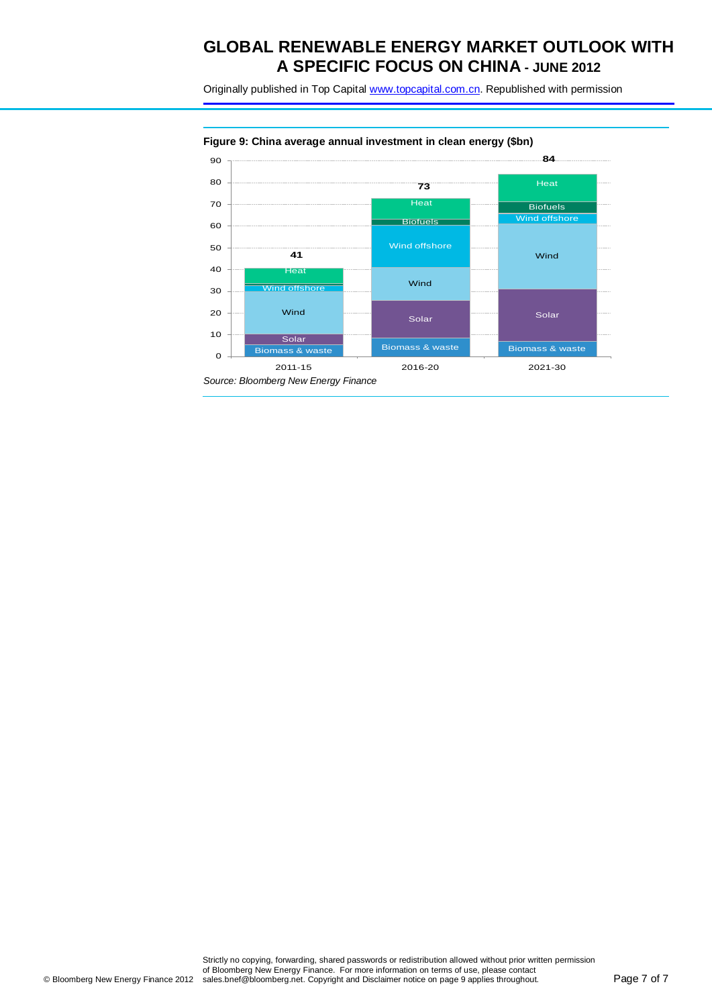Originally published in Top Capital [www.topcapital.com.cn.](http://www.topcapital.com.cn/) Republished with permission

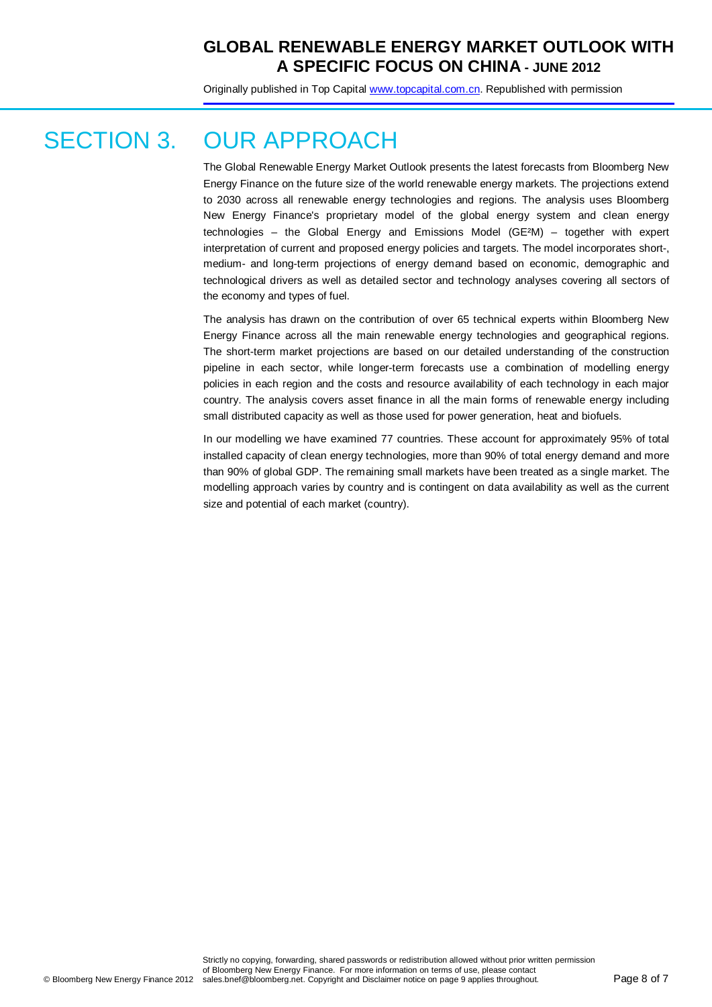Originally published in Top Capital [www.topcapital.com.cn.](http://www.topcapital.com.cn/) Republished with permission

# SECTION 3. OUR APPROACH

The Global Renewable Energy Market Outlook presents the latest forecasts from Bloomberg New Energy Finance on the future size of the world renewable energy markets. The projections extend to 2030 across all renewable energy technologies and regions. The analysis uses Bloomberg New Energy Finance's proprietary model of the global energy system and clean energy technologies – the Global Energy and Emissions Model (GE²M) – together with expert interpretation of current and proposed energy policies and targets. The model incorporates short-, medium- and long-term projections of energy demand based on economic, demographic and technological drivers as well as detailed sector and technology analyses covering all sectors of the economy and types of fuel.

The analysis has drawn on the contribution of over 65 technical experts within Bloomberg New Energy Finance across all the main renewable energy technologies and geographical regions. The short-term market projections are based on our detailed understanding of the construction pipeline in each sector, while longer-term forecasts use a combination of modelling energy policies in each region and the costs and resource availability of each technology in each major country. The analysis covers asset finance in all the main forms of renewable energy including small distributed capacity as well as those used for power generation, heat and biofuels.

In our modelling we have examined 77 countries. These account for approximately 95% of total installed capacity of clean energy technologies, more than 90% of total energy demand and more than 90% of global GDP. The remaining small markets have been treated as a single market. The modelling approach varies by country and is contingent on data availability as well as the current size and potential of each market (country).